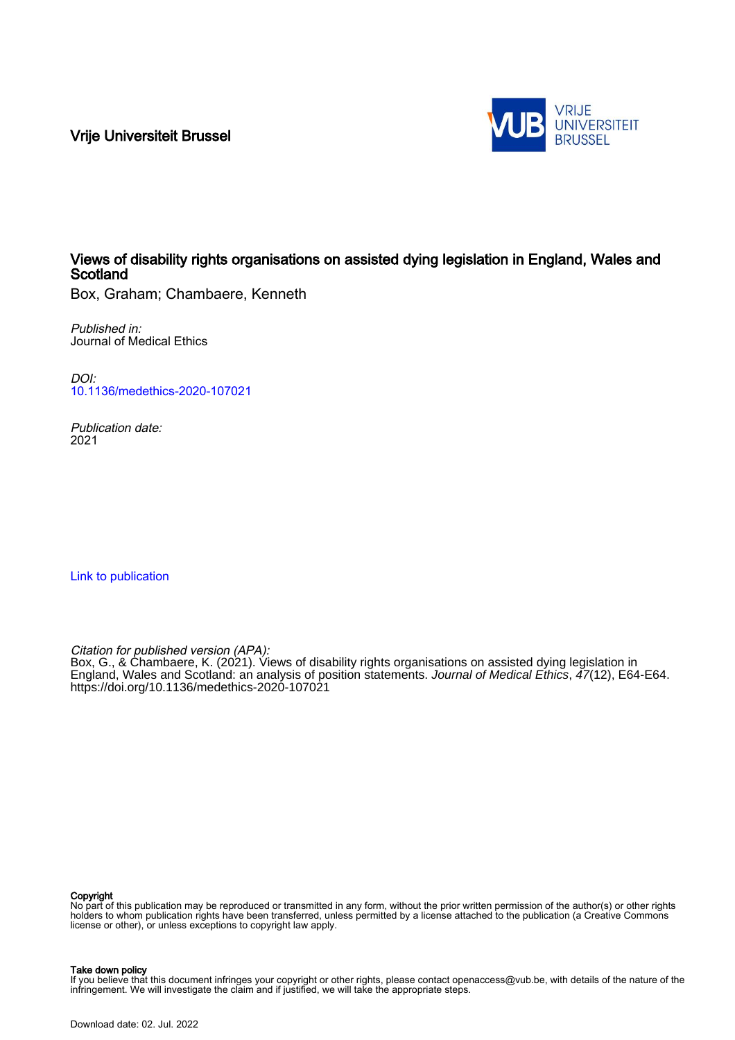Vrije Universiteit Brussel



# Views of disability rights organisations on assisted dying legislation in England, Wales and Scotland

Box, Graham; Chambaere, Kenneth

Published in: Journal of Medical Ethics

DOI: [10.1136/medethics-2020-107021](https://doi.org/10.1136/medethics-2020-107021)

Publication date: 2021

[Link to publication](https://researchportal.vub.be/en/publications/b286fc10-e1b7-40c3-8b8e-e4fd16cdf176)

Citation for published version (APA):

Box, G., & Chambaere, K. (2021). Views of disability rights organisations on assisted dying legislation in England, Wales and Scotland: an analysis of position statements. Journal of Medical Ethics, 47(12), E64-E64. <https://doi.org/10.1136/medethics-2020-107021>

#### Copyright

No part of this publication may be reproduced or transmitted in any form, without the prior written permission of the author(s) or other rights holders to whom publication rights have been transferred, unless permitted by a license attached to the publication (a Creative Commons license or other), or unless exceptions to copyright law apply.

#### Take down policy

If you believe that this document infringes your copyright or other rights, please contact openaccess@vub.be, with details of the nature of the infringement. We will investigate the claim and if justified, we will take the appropriate steps.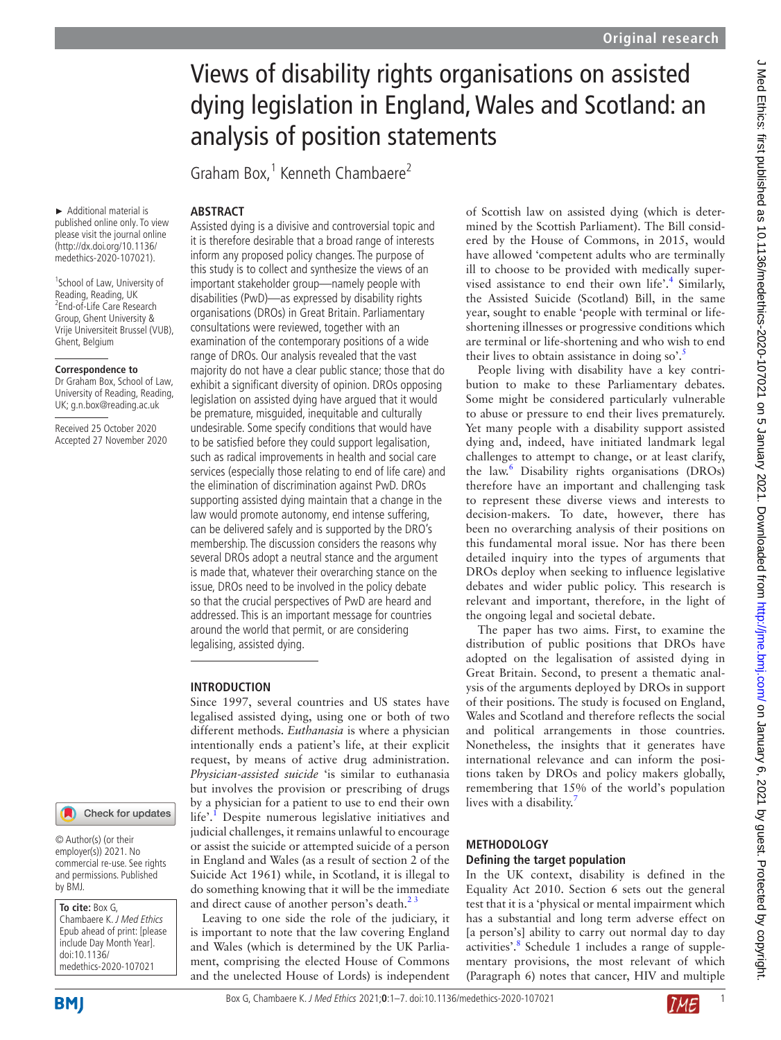# Views of disability rights organisations on assisted dying legislation in England, Wales and Scotland: an analysis of position statements

Graham Box,<sup>1</sup> Kenneth Chambaere<sup>2</sup>

## **ABSTRACT**

► Additional material is published online only. To view please visit the journal online (http://dx.doi.org/10.1136/ medethics-2020-107021).

<sup>1</sup>School of Law, University of Reading, Reading, UK <sup>2</sup> End-of-Life Care Research Group, Ghent University & Vrije Universiteit Brussel (VUB), Ghent, Belgium

#### **Correspondence to**

Dr Graham Box, School of Law, University of Reading, Reading, UK; g.n.box@reading.ac.uk

Received 25 October 2020 Accepted 27 November 2020

# Check for updates

© Author(s) (or their employer(s)) 2021. No commercial re-use. See rights and permissions. Published by BMJ.

#### **To cite:** Box G, Chambaere K. J Med Ethics Epub ahead of print: [please include Day Month Year]. doi:10.1136/ medethics-2020-107021

Assisted dying is a divisive and controversial topic and it is therefore desirable that a broad range of interests inform any proposed policy changes. The purpose of this study is to collect and synthesize the views of an important stakeholder group—namely people with disabilities (PwD)—as expressed by disability rights organisations (DROs) in Great Britain. Parliamentary consultations were reviewed, together with an examination of the contemporary positions of a wide range of DROs. Our analysis revealed that the vast majority do not have a clear public stance; those that do exhibit a significant diversity of opinion. DROs opposing legislation on assisted dying have argued that it would be premature, misguided, inequitable and culturally undesirable. Some specify conditions that would have to be satisfied before they could support legalisation, such as radical improvements in health and social care services (especially those relating to end of life care) and the elimination of discrimination against PwD. DROs supporting assisted dying maintain that a change in the law would promote autonomy, end intense suffering, can be delivered safely and is supported by the DRO's membership. The discussion considers the reasons why several DROs adopt a neutral stance and the argument is made that, whatever their overarching stance on the issue, DROs need to be involved in the policy debate so that the crucial perspectives of PwD are heard and addressed. This is an important message for countries around the world that permit, or are considering legalising, assisted dying.

## **INTRODUCTION**

Since 1997, several countries and US states have legalised assisted dying, using one or both of two different methods. *Euthanasia* is where a physician intentionally ends a patient's life, at their explicit request, by means of active drug administration. *Physician-assisted suicide* 'is similar to euthanasia but involves the provision or prescribing of drugs by a physician for a patient to use to end their own life'.<sup>I</sup> Despite numerous legislative initiatives and judicial challenges, it remains unlawful to encourage or assist the suicide or attempted suicide of a person in England and Wales (as a result of section 2 of the Suicide Act 1961) while, in Scotland, it is illegal to do something knowing that it will be the immediate and direct cause of another person's death. $2<sup>2</sup>$ 

Leaving to one side the role of the judiciary, it is important to note that the law covering England and Wales (which is determined by the UK Parliament, comprising the elected House of Commons and the unelected House of Lords) is independent of Scottish law on assisted dying (which is determined by the Scottish Parliament). The Bill considered by the House of Commons, in 2015, would have allowed 'competent adults who are terminally ill to choose to be provided with medically super-vised assistance to end their own life'.<sup>[4](#page-6-2)</sup> Similarly, the Assisted Suicide (Scotland) Bill, in the same year, sought to enable 'people with terminal or lifeshortening illnesses or progressive conditions which are terminal or life-shortening and who wish to end their lives to obtain assistance in doing so'.<sup>5</sup>

People living with disability have a key contribution to make to these Parliamentary debates. Some might be considered particularly vulnerable to abuse or pressure to end their lives prematurely. Yet many people with a disability support assisted dying and, indeed, have initiated landmark legal challenges to attempt to change, or at least clarify, the law.<sup>6</sup> Disability rights organisations (DROs) therefore have an important and challenging task to represent these diverse views and interests to decision-makers. To date, however, there has been no overarching analysis of their positions on this fundamental moral issue. Nor has there been detailed inquiry into the types of arguments that DROs deploy when seeking to influence legislative debates and wider public policy. This research is relevant and important, therefore, in the light of the ongoing legal and societal debate.

The paper has two aims. First, to examine the distribution of public positions that DROs have adopted on the legalisation of assisted dying in Great Britain. Second, to present a thematic analysis of the arguments deployed by DROs in support of their positions. The study is focused on England, Wales and Scotland and therefore reflects the social and political arrangements in those countries. Nonetheless, the insights that it generates have international relevance and can inform the positions taken by DROs and policy makers globally, remembering that 15% of the world's population lives with a disability.<sup>[7](#page-6-5)</sup>

## **METHODOLOGY**

#### **Defining the target population**

In the UK context, disability is defined in the Equality Act 2010. Section 6 sets out the general test that it is a 'physical or mental impairment which has a substantial and long term adverse effect on [a person's] ability to carry out normal day to day activities'.<sup>8</sup> Schedule 1 includes a range of supplementary provisions, the most relevant of which (Paragraph 6) notes that cancer, HIV and multiple

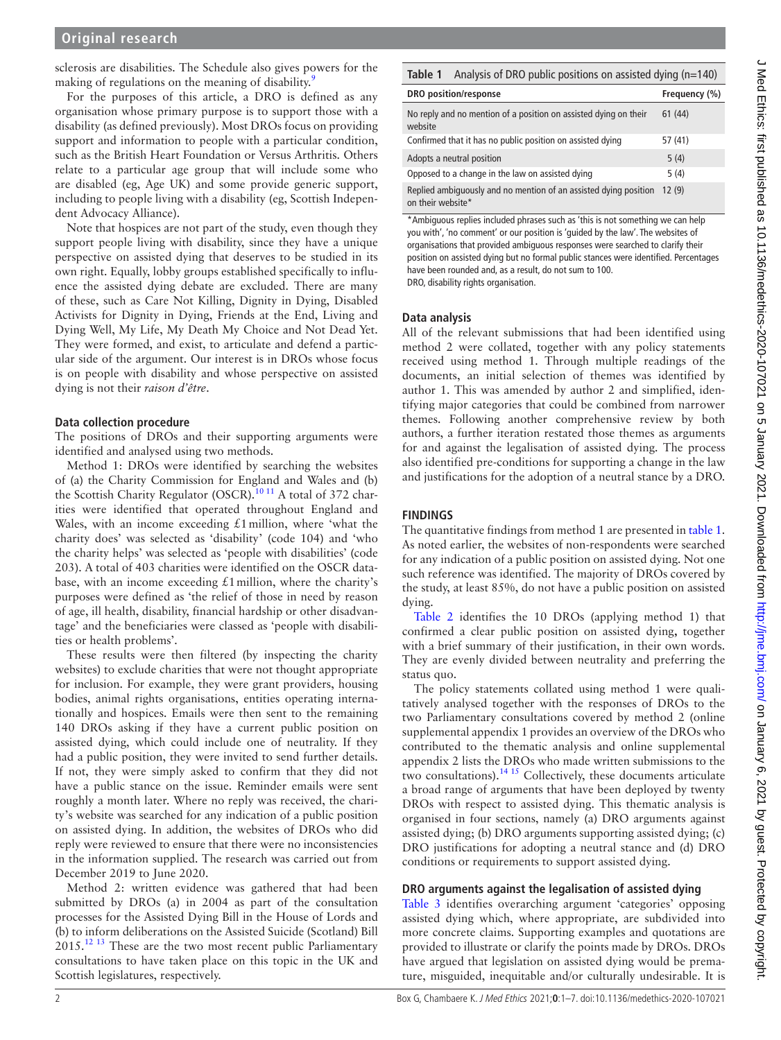sclerosis are disabilities. The Schedule also gives powers for the making of regulations on the meaning of disability.<sup>[9](#page-6-7)</sup>

For the purposes of this article, a DRO is defined as any organisation whose primary purpose is to support those with a disability (as defined previously). Most DROs focus on providing support and information to people with a particular condition, such as the British Heart Foundation or Versus Arthritis. Others relate to a particular age group that will include some who are disabled (eg, Age UK) and some provide generic support, including to people living with a disability (eg, Scottish Independent Advocacy Alliance).

Note that hospices are not part of the study, even though they support people living with disability, since they have a unique perspective on assisted dying that deserves to be studied in its own right. Equally, lobby groups established specifically to influence the assisted dying debate are excluded. There are many of these, such as Care Not Killing, Dignity in Dying, Disabled Activists for Dignity in Dying, Friends at the End, Living and Dying Well, My Life, My Death My Choice and Not Dead Yet. They were formed, and exist, to articulate and defend a particular side of the argument. Our interest is in DROs whose focus is on people with disability and whose perspective on assisted dying is not their *raison d'être*.

## **Data collection procedure**

The positions of DROs and their supporting arguments were identified and analysed using two methods.

Method 1: DROs were identified by searching the websites of (a) the Charity Commission for England and Wales and (b) the Scottish Charity Regulator (OSCR).<sup>10 11</sup> A total of 372 charities were identified that operated throughout England and Wales, with an income exceeding  $£1$  million, where 'what the charity does' was selected as 'disability' (code 104) and 'who the charity helps' was selected as 'people with disabilities' (code 203). A total of 403 charities were identified on the OSCR database, with an income exceeding  $£1$  million, where the charity's purposes were defined as 'the relief of those in need by reason of age, ill health, disability, financial hardship or other disadvantage' and the beneficiaries were classed as 'people with disabilities or health problems'.

These results were then filtered (by inspecting the charity websites) to exclude charities that were not thought appropriate for inclusion. For example, they were grant providers, housing bodies, animal rights organisations, entities operating internationally and hospices. Emails were then sent to the remaining 140 DROs asking if they have a current public position on assisted dying, which could include one of neutrality. If they had a public position, they were invited to send further details. If not, they were simply asked to confirm that they did not have a public stance on the issue. Reminder emails were sent roughly a month later. Where no reply was received, the charity's website was searched for any indication of a public position on assisted dying. In addition, the websites of DROs who did reply were reviewed to ensure that there were no inconsistencies in the information supplied. The research was carried out from December 2019 to June 2020.

Method 2: written evidence was gathered that had been submitted by DROs (a) in 2004 as part of the consultation processes for the Assisted Dying Bill in the House of Lords and (b) to inform deliberations on the Assisted Suicide (Scotland) Bill  $2015.<sup>12 13</sup>$  $2015.<sup>12 13</sup>$  $2015.<sup>12 13</sup>$  These are the two most recent public Parliamentary consultations to have taken place on this topic in the UK and Scottish legislatures, respectively.

<span id="page-2-0"></span>

| Analysis of DRO public positions on assisted dying $(n=140)$<br>Table 1               |               |
|---------------------------------------------------------------------------------------|---------------|
| DRO position/response                                                                 | Frequency (%) |
| No reply and no mention of a position on assisted dying on their<br>website           | 61(44)        |
| Confirmed that it has no public position on assisted dying                            | 57 (41)       |
| Adopts a neutral position                                                             | 5(4)          |
| Opposed to a change in the law on assisted dying                                      | 5(4)          |
| Replied ambiguously and no mention of an assisted dying position<br>on their website* | 12(9)         |

\*Ambiguous replies included phrases such as 'this is not something we can help you with', 'no comment' or our position is 'guided by the law'. The websites of organisations that provided ambiguous responses were searched to clarify their position on assisted dying but no formal public stances were identified. Percentages have been rounded and, as a result, do not sum to 100.

DRO, disability rights organisation.

## **Data analysis**

All of the relevant submissions that had been identified using method 2 were collated, together with any policy statements received using method 1. Through multiple readings of the documents, an initial selection of themes was identified by author 1. This was amended by author 2 and simplified, identifying major categories that could be combined from narrower themes. Following another comprehensive review by both authors, a further iteration restated those themes as arguments for and against the legalisation of assisted dying. The process also identified pre-conditions for supporting a change in the law and justifications for the adoption of a neutral stance by a DRO.

## **FINDINGS**

The quantitative findings from method 1 are presented in [table](#page-2-0) 1. As noted earlier, the websites of non-respondents were searched for any indication of a public position on assisted dying. Not one such reference was identified. The majority of DROs covered by the study, at least 85%, do not have a public position on assisted dying.

[Table](#page-3-0) 2 identifies the 10 DROs (applying method 1) that confirmed a clear public position on assisted dying**,** together with a brief summary of their justification, in their own words. They are evenly divided between neutrality and preferring the status quo.

The policy statements collated using method 1 were qualitatively analysed together with the responses of DROs to the two Parliamentary consultations covered by method 2 [\(online](https://dx.doi.org/10.1136/medethics-2020-107021) [supplemental appendix 1](https://dx.doi.org/10.1136/medethics-2020-107021) provides an overview of the DROs who contributed to the thematic analysis and [online supplemental](https://dx.doi.org/10.1136/medethics-2020-107021) [appendix 2](https://dx.doi.org/10.1136/medethics-2020-107021) lists the DROs who made written submissions to the two consultations).<sup>[14 15](#page-6-10)</sup> Collectively, these documents articulate a broad range of arguments that have been deployed by twenty DROs with respect to assisted dying. This thematic analysis is organised in four sections, namely (a) DRO arguments against assisted dying; (b) DRO arguments supporting assisted dying; (c) DRO justifications for adopting a neutral stance and (d) DRO conditions or requirements to support assisted dying.

#### **DRO arguments against the legalisation of assisted dying**

[Table](#page-4-0) 3 identifies overarching argument 'categories' opposing assisted dying which, where appropriate, are subdivided into more concrete claims. Supporting examples and quotations are provided to illustrate or clarify the points made by DROs. DROs have argued that legislation on assisted dying would be premature, misguided, inequitable and/or culturally undesirable. It is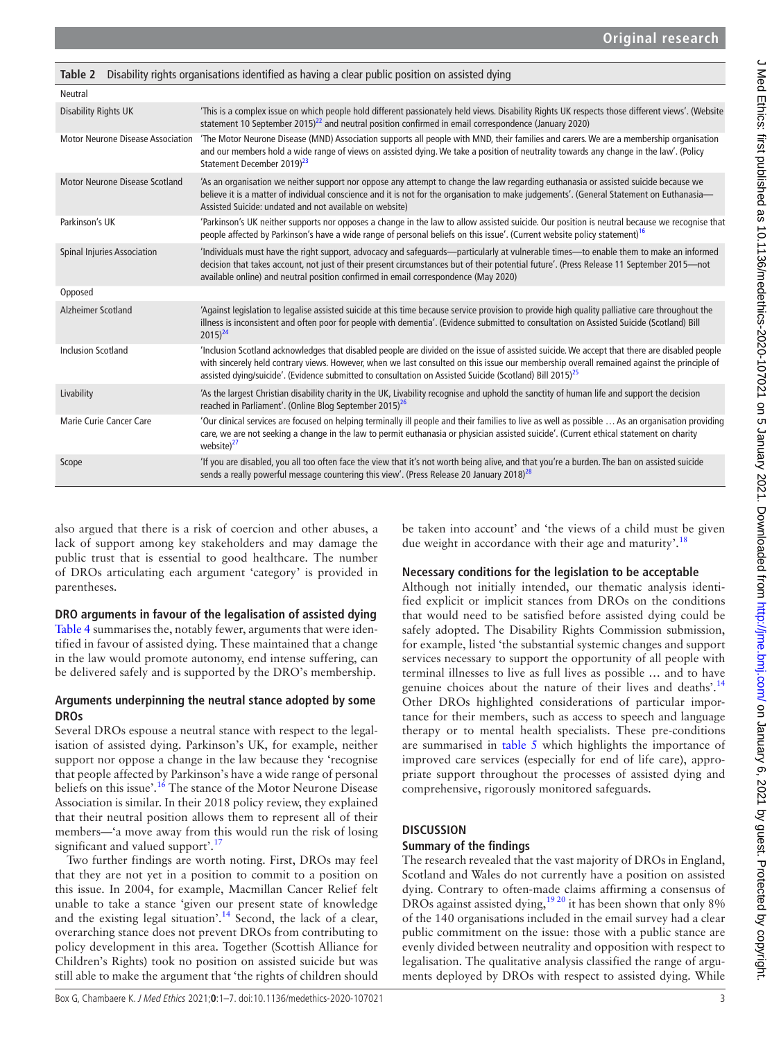<span id="page-3-0"></span>

| Table 2                                  | Disability rights organisations identified as having a clear public position on assisted dying                                                                                                                                                                                                                                                                                                                     |
|------------------------------------------|--------------------------------------------------------------------------------------------------------------------------------------------------------------------------------------------------------------------------------------------------------------------------------------------------------------------------------------------------------------------------------------------------------------------|
| <b>Neutral</b>                           |                                                                                                                                                                                                                                                                                                                                                                                                                    |
| <b>Disability Rights UK</b>              | 'This is a complex issue on which people hold different passionately held views. Disability Rights UK respects those different views'. (Website<br>statement 10 September 2015) <sup>22</sup> and neutral position confirmed in email correspondence (January 2020)                                                                                                                                                |
| <b>Motor Neurone Disease Association</b> | 'The Motor Neurone Disease (MND) Association supports all people with MND, their families and carers. We are a membership organisation<br>and our members hold a wide range of views on assisted dying. We take a position of neutrality towards any change in the law'. (Policy<br>Statement December 2019) <sup>23</sup>                                                                                         |
| <b>Motor Neurone Disease Scotland</b>    | 'As an organisation we neither support nor oppose any attempt to change the law regarding euthanasia or assisted suicide because we<br>believe it is a matter of individual conscience and it is not for the organisation to make judgements'. (General Statement on Euthanasia-<br>Assisted Suicide: undated and not available on website)                                                                        |
| Parkinson's UK                           | 'Parkinson's UK neither supports nor opposes a change in the law to allow assisted suicide. Our position is neutral because we recognise that<br>people affected by Parkinson's have a wide range of personal beliefs on this issue'. (Current website policy statement) <sup>16</sup>                                                                                                                             |
| Spinal Injuries Association              | 'Individuals must have the right support, advocacy and safeguards—particularly at vulnerable times—to enable them to make an informed<br>decision that takes account, not just of their present circumstances but of their potential future'. (Press Release 11 September 2015-not<br>available online) and neutral position confirmed in email correspondence (May 2020)                                          |
| Opposed                                  |                                                                                                                                                                                                                                                                                                                                                                                                                    |
| Alzheimer Scotland                       | 'Against legislation to legalise assisted suicide at this time because service provision to provide high quality palliative care throughout the<br>illness is inconsistent and often poor for people with dementia'. (Evidence submitted to consultation on Assisted Suicide (Scotland) Bill<br>$2015)^{24}$                                                                                                       |
| <b>Inclusion Scotland</b>                | 'Inclusion Scotland acknowledges that disabled people are divided on the issue of assisted suicide. We accept that there are disabled people<br>with sincerely held contrary views. However, when we last consulted on this issue our membership overall remained against the principle of<br>assisted dying/suicide'. (Evidence submitted to consultation on Assisted Suicide (Scotland) Bill 2015) <sup>25</sup> |
| Livability                               | 'As the largest Christian disability charity in the UK, Livability recognise and uphold the sanctity of human life and support the decision<br>reached in Parliament'. (Online Blog September 2015) <sup>26</sup>                                                                                                                                                                                                  |
| Marie Curie Cancer Care                  | 'Our clinical services are focused on helping terminally ill people and their families to live as well as possible  As an organisation providing<br>care, we are not seeking a change in the law to permit euthanasia or physician assisted suicide'. (Current ethical statement on charity<br>website) <sup>27</sup>                                                                                              |
| Scope                                    | 'If you are disabled, you all too often face the view that it's not worth being alive, and that you're a burden. The ban on assisted suicide<br>sends a really powerful message countering this view'. (Press Release 20 January 2018) <sup>28</sup>                                                                                                                                                               |

also argued that there is a risk of coercion and other abuses, a lack of support among key stakeholders and may damage the public trust that is essential to good healthcare. The number of DROs articulating each argument 'category' is provided in parentheses.

## **DRO arguments in favour of the legalisation of assisted dying**

[Table](#page-5-0) 4 summarises the, notably fewer, arguments that were identified in favour of assisted dying. These maintained that a change in the law would promote autonomy, end intense suffering, can be delivered safely and is supported by the DRO's membership.

## **Arguments underpinning the neutral stance adopted by some DROs**

Several DROs espouse a neutral stance with respect to the legalisation of assisted dying. Parkinson's UK, for example, neither support nor oppose a change in the law because they 'recognise that people affected by Parkinson's have a wide range of personal beliefs on this issue'.<sup>[16](#page-6-11)</sup> The stance of the Motor Neurone Disease Association is similar. In their 2018 policy review, they explained that their neutral position allows them to represent all of their members—'a move away from this would run the risk of losing significant and valued support'.<sup>17</sup>

Two further findings are worth noting. First, DROs may feel that they are not yet in a position to commit to a position on this issue. In 2004, for example, Macmillan Cancer Relief felt unable to take a stance 'given our present state of knowledge and the existing legal situation'.<sup>14</sup> Second, the lack of a clear, overarching stance does not prevent DROs from contributing to policy development in this area. Together (Scottish Alliance for Children's Rights) took no position on assisted suicide but was still able to make the argument that 'the rights of children should

be taken into account' and 'the views of a child must be given due weight in accordance with their age and maturity'.<sup>18</sup>

## **Necessary conditions for the legislation to be acceptable**

Although not initially intended, our thematic analysis identified explicit or implicit stances from DROs on the conditions that would need to be satisfied before assisted dying could be safely adopted. The Disability Rights Commission submission, for example, listed 'the substantial systemic changes and support services necessary to support the opportunity of all people with terminal illnesses to live as full lives as possible … and to have genuine choices about the nature of their lives and deaths'.<sup>[14](#page-6-10)</sup> Other DROs highlighted considerations of particular importance for their members, such as access to speech and language therapy or to mental health specialists. These pre-conditions are summarised in [table](#page-6-14) 5 which highlights the importance of improved care services (especially for end of life care), appropriate support throughout the processes of assisted dying and comprehensive, rigorously monitored safeguards.

## **DISCUSSION**

## **Summary of the findings**

The research revealed that the vast majority of DROs in England, Scotland and Wales do not currently have a position on assisted dying. Contrary to often-made claims affirming a consensus of DROs against assisted dying,  $1920$  it has been shown that only 8% of the 140 organisations included in the email survey had a clear public commitment on the issue: those with a public stance are evenly divided between neutrality and opposition with respect to legalisation. The qualitative analysis classified the range of arguments deployed by DROs with respect to assisted dying. While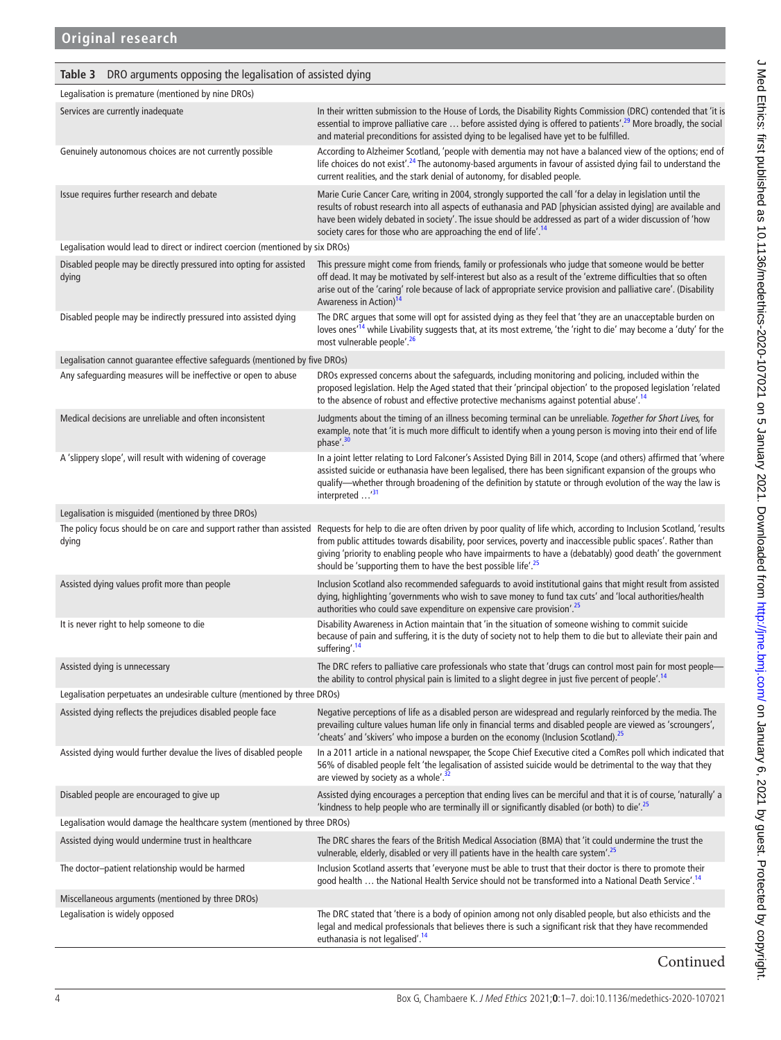## <span id="page-4-0"></span>**Table 3** DRO arguments opposing the legalisation of assisted dying

| Legalisation is premature (mentioned by nine DROs)                             |                                                                                                                                                                                                                                                                                                                                                                                                                                                                                                   |
|--------------------------------------------------------------------------------|---------------------------------------------------------------------------------------------------------------------------------------------------------------------------------------------------------------------------------------------------------------------------------------------------------------------------------------------------------------------------------------------------------------------------------------------------------------------------------------------------|
| Services are currently inadequate                                              | In their written submission to the House of Lords, the Disability Rights Commission (DRC) contended that 'it is<br>essential to improve palliative care  before assisted dying is offered to patients'. <sup>29</sup> More broadly, the social<br>and material preconditions for assisted dying to be legalised have yet to be fulfilled.                                                                                                                                                         |
| Genuinely autonomous choices are not currently possible                        | According to Alzheimer Scotland, 'people with dementia may not have a balanced view of the options; end of<br>life choices do not exist'. <sup>24</sup> The autonomy-based arguments in favour of assisted dying fail to understand the<br>current realities, and the stark denial of autonomy, for disabled people.                                                                                                                                                                              |
| Issue requires further research and debate                                     | Marie Curie Cancer Care, writing in 2004, strongly supported the call 'for a delay in legislation until the<br>results of robust research into all aspects of euthanasia and PAD [physician assisted dying] are available and<br>have been widely debated in society'. The issue should be addressed as part of a wider discussion of 'how<br>society cares for those who are approaching the end of life'. <sup>14</sup>                                                                         |
| Legalisation would lead to direct or indirect coercion (mentioned by six DROs) |                                                                                                                                                                                                                                                                                                                                                                                                                                                                                                   |
| Disabled people may be directly pressured into opting for assisted<br>dying    | This pressure might come from friends, family or professionals who judge that someone would be better<br>off dead. It may be motivated by self-interest but also as a result of the 'extreme difficulties that so often<br>arise out of the 'caring' role because of lack of appropriate service provision and palliative care'. (Disability<br>Awareness in Action) <sup>14</sup>                                                                                                                |
| Disabled people may be indirectly pressured into assisted dying                | The DRC argues that some will opt for assisted dying as they feel that 'they are an unacceptable burden on<br>loves ones <sup>ri4</sup> while Livability suggests that, at its most extreme, 'the 'right to die' may become a 'duty' for the<br>most vulnerable people'. <sup>26</sup>                                                                                                                                                                                                            |
| Legalisation cannot guarantee effective safeguards (mentioned by five DROs)    |                                                                                                                                                                                                                                                                                                                                                                                                                                                                                                   |
| Any safeguarding measures will be ineffective or open to abuse                 | DROs expressed concerns about the safeguards, including monitoring and policing, included within the<br>proposed legislation. Help the Aged stated that their 'principal objection' to the proposed legislation 'related<br>to the absence of robust and effective protective mechanisms against potential abuse'. <sup>14</sup>                                                                                                                                                                  |
| Medical decisions are unreliable and often inconsistent                        | Judgments about the timing of an illness becoming terminal can be unreliable. Together for Short Lives, for<br>example, note that 'it is much more difficult to identify when a young person is moving into their end of life<br>phase'. <sup>30</sup>                                                                                                                                                                                                                                            |
| A 'slippery slope', will result with widening of coverage                      | In a joint letter relating to Lord Falconer's Assisted Dying Bill in 2014, Scope (and others) affirmed that 'where<br>assisted suicide or euthanasia have been legalised, there has been significant expansion of the groups who<br>qualify-whether through broadening of the definition by statute or through evolution of the way the law is<br>interpreted <sup>31</sup>                                                                                                                       |
| Legalisation is misguided (mentioned by three DROs)                            |                                                                                                                                                                                                                                                                                                                                                                                                                                                                                                   |
| dying                                                                          | The policy focus should be on care and support rather than assisted Requests for help to die are often driven by poor quality of life which, according to Inclusion Scotland, 'results<br>from public attitudes towards disability, poor services, poverty and inaccessible public spaces'. Rather than<br>giving 'priority to enabling people who have impairments to have a (debatably) good death' the government<br>should be 'supporting them to have the best possible life'. <sup>25</sup> |
| Assisted dying values profit more than people                                  | Inclusion Scotland also recommended safeguards to avoid institutional gains that might result from assisted<br>dying, highlighting 'governments who wish to save money to fund tax cuts' and 'local authorities/health<br>authorities who could save expenditure on expensive care provision'. <sup>25</sup>                                                                                                                                                                                      |
| It is never right to help someone to die                                       | Disability Awareness in Action maintain that 'in the situation of someone wishing to commit suicide<br>because of pain and suffering, it is the duty of society not to help them to die but to alleviate their pain and<br>suffering'. <sup>14</sup>                                                                                                                                                                                                                                              |
| Assisted dying is unnecessary                                                  | The DRC refers to palliative care professionals who state that 'drugs can control most pain for most people-<br>the ability to control physical pain is limited to a slight degree in just five percent of people'. <sup>14</sup>                                                                                                                                                                                                                                                                 |
| Legalisation perpetuates an undesirable culture (mentioned by three DROs)      |                                                                                                                                                                                                                                                                                                                                                                                                                                                                                                   |
| Assisted dying reflects the prejudices disabled people face                    | Negative perceptions of life as a disabled person are widespread and regularly reinforced by the media. The<br>prevailing culture values human life only in financial terms and disabled people are viewed as 'scroungers',<br>'cheats' and 'skivers' who impose a burden on the economy (Inclusion Scotland). <sup>25</sup>                                                                                                                                                                      |
| Assisted dying would further devalue the lives of disabled people              | In a 2011 article in a national newspaper, the Scope Chief Executive cited a ComRes poll which indicated that<br>56% of disabled people felt 'the legalisation of assisted suicide would be detrimental to the way that they<br>are viewed by society as a whole'. <sup>32</sup>                                                                                                                                                                                                                  |
| Disabled people are encouraged to give up                                      | Assisted dying encourages a perception that ending lives can be merciful and that it is of course, 'naturally' a<br>'kindness to help people who are terminally ill or significantly disabled (or both) to die'. <sup>25</sup>                                                                                                                                                                                                                                                                    |
| Legalisation would damage the healthcare system (mentioned by three DROs)      |                                                                                                                                                                                                                                                                                                                                                                                                                                                                                                   |
| Assisted dying would undermine trust in healthcare                             | The DRC shares the fears of the British Medical Association (BMA) that 'it could undermine the trust the<br>vulnerable, elderly, disabled or very ill patients have in the health care system'. <sup>25</sup>                                                                                                                                                                                                                                                                                     |
| The doctor-patient relationship would be harmed                                | Inclusion Scotland asserts that 'everyone must be able to trust that their doctor is there to promote their<br>good health  the National Health Service should not be transformed into a National Death Service'. <sup>14</sup>                                                                                                                                                                                                                                                                   |
| Miscellaneous arguments (mentioned by three DROs)                              |                                                                                                                                                                                                                                                                                                                                                                                                                                                                                                   |
| Legalisation is widely opposed                                                 | The DRC stated that 'there is a body of opinion among not only disabled people, but also ethicists and the<br>legal and medical professionals that believes there is such a significant risk that they have recommended<br>euthanasia is not legalised'. <sup>14</sup>                                                                                                                                                                                                                            |

Continued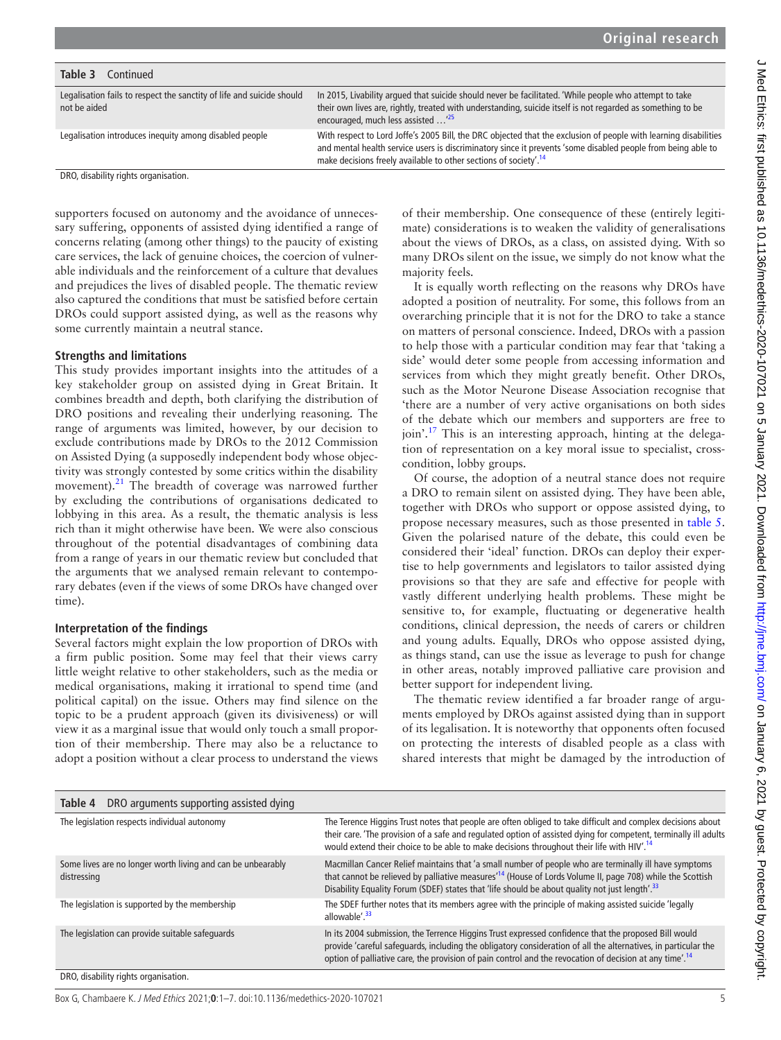| <b>ー NADA ロ+hiro- firro+</b> -                                                                                                                                                                                                          |
|-----------------------------------------------------------------------------------------------------------------------------------------------------------------------------------------------------------------------------------------|
|                                                                                                                                                                                                                                         |
|                                                                                                                                                                                                                                         |
|                                                                                                                                                                                                                                         |
|                                                                                                                                                                                                                                         |
|                                                                                                                                                                                                                                         |
|                                                                                                                                                                                                                                         |
|                                                                                                                                                                                                                                         |
|                                                                                                                                                                                                                                         |
|                                                                                                                                                                                                                                         |
|                                                                                                                                                                                                                                         |
|                                                                                                                                                                                                                                         |
|                                                                                                                                                                                                                                         |
|                                                                                                                                                                                                                                         |
|                                                                                                                                                                                                                                         |
|                                                                                                                                                                                                                                         |
|                                                                                                                                                                                                                                         |
|                                                                                                                                                                                                                                         |
|                                                                                                                                                                                                                                         |
|                                                                                                                                                                                                                                         |
|                                                                                                                                                                                                                                         |
|                                                                                                                                                                                                                                         |
|                                                                                                                                                                                                                                         |
|                                                                                                                                                                                                                                         |
|                                                                                                                                                                                                                                         |
|                                                                                                                                                                                                                                         |
|                                                                                                                                                                                                                                         |
|                                                                                                                                                                                                                                         |
|                                                                                                                                                                                                                                         |
|                                                                                                                                                                                                                                         |
|                                                                                                                                                                                                                                         |
|                                                                                                                                                                                                                                         |
|                                                                                                                                                                                                                                         |
|                                                                                                                                                                                                                                         |
|                                                                                                                                                                                                                                         |
|                                                                                                                                                                                                                                         |
|                                                                                                                                                                                                                                         |
|                                                                                                                                                                                                                                         |
|                                                                                                                                                                                                                                         |
|                                                                                                                                                                                                                                         |
|                                                                                                                                                                                                                                         |
|                                                                                                                                                                                                                                         |
|                                                                                                                                                                                                                                         |
|                                                                                                                                                                                                                                         |
|                                                                                                                                                                                                                                         |
|                                                                                                                                                                                                                                         |
|                                                                                                                                                                                                                                         |
|                                                                                                                                                                                                                                         |
|                                                                                                                                                                                                                                         |
|                                                                                                                                                                                                                                         |
|                                                                                                                                                                                                                                         |
|                                                                                                                                                                                                                                         |
|                                                                                                                                                                                                                                         |
|                                                                                                                                                                                                                                         |
|                                                                                                                                                                                                                                         |
|                                                                                                                                                                                                                                         |
| <b>こう) とうと キャンファバトトキャハ・/ハレレ</b>                                                                                                                                                                                                         |
|                                                                                                                                                                                                                                         |
| o incorrect interest incorrect income incorrect incorrect incorrect income income incorrect incorrect incorrect income incorrect income income income income income income income income income income income income income in<br>Ninna |
|                                                                                                                                                                                                                                         |
|                                                                                                                                                                                                                                         |
|                                                                                                                                                                                                                                         |
|                                                                                                                                                                                                                                         |
|                                                                                                                                                                                                                                         |
|                                                                                                                                                                                                                                         |
|                                                                                                                                                                                                                                         |
|                                                                                                                                                                                                                                         |
|                                                                                                                                                                                                                                         |
|                                                                                                                                                                                                                                         |
|                                                                                                                                                                                                                                         |
|                                                                                                                                                                                                                                         |
|                                                                                                                                                                                                                                         |
|                                                                                                                                                                                                                                         |
|                                                                                                                                                                                                                                         |
|                                                                                                                                                                                                                                         |
|                                                                                                                                                                                                                                         |
|                                                                                                                                                                                                                                         |
| <b>CITE CIT CATTLESS IN CIT CIT - 2 Y</b>                                                                                                                                                                                               |
|                                                                                                                                                                                                                                         |
|                                                                                                                                                                                                                                         |
|                                                                                                                                                                                                                                         |
|                                                                                                                                                                                                                                         |
| t                                                                                                                                                                                                                                       |
|                                                                                                                                                                                                                                         |
|                                                                                                                                                                                                                                         |
|                                                                                                                                                                                                                                         |
|                                                                                                                                                                                                                                         |
|                                                                                                                                                                                                                                         |
|                                                                                                                                                                                                                                         |
| <b>1975 - 1976 - 1976 - 1976 - 1976 - 197</b>                                                                                                                                                                                           |
|                                                                                                                                                                                                                                         |
|                                                                                                                                                                                                                                         |
|                                                                                                                                                                                                                                         |

| Table 3 | Continued |  |
|---------|-----------|--|
|         |           |  |

| Legalisation fails to respect the sanctity of life and suicide should<br>not be aided | In 2015, Livability argued that suicide should never be facilitated. 'While people who attempt to take<br>their own lives are, rightly, treated with understanding, suicide itself is not regarded as something to be<br>encouraged, much less assisted <sup>125</sup>                                           |
|---------------------------------------------------------------------------------------|------------------------------------------------------------------------------------------------------------------------------------------------------------------------------------------------------------------------------------------------------------------------------------------------------------------|
| Legalisation introduces inequity among disabled people                                | With respect to Lord Joffe's 2005 Bill, the DRC objected that the exclusion of people with learning disabilities<br>and mental health service users is discriminatory since it prevents 'some disabled people from being able to<br>make decisions freely available to other sections of society'. <sup>14</sup> |
| DRO dicability rights organisation                                                    |                                                                                                                                                                                                                                                                                                                  |

DRO, disability rights organisation.

supporters focused on autonomy and the avoidance of unnecessary suffering, opponents of assisted dying identified a range of concerns relating (among other things) to the paucity of existing care services, the lack of genuine choices, the coercion of vulnerable individuals and the reinforcement of a culture that devalues and prejudices the lives of disabled people. The thematic review also captured the conditions that must be satisfied before certain DROs could support assisted dying, as well as the reasons why some currently maintain a neutral stance.

#### **Strengths and limitations**

This study provides important insights into the attitudes of a key stakeholder group on assisted dying in Great Britain. It combines breadth and depth, both clarifying the distribution of DRO positions and revealing their underlying reasoning. The range of arguments was limited, however, by our decision to exclude contributions made by DROs to the 2012 Commission on Assisted Dying (a supposedly independent body whose objectivity was strongly contested by some critics within the disability movement).<sup>21</sup> The breadth of coverage was narrowed further by excluding the contributions of organisations dedicated to lobbying in this area. As a result, the thematic analysis is less rich than it might otherwise have been. We were also conscious throughout of the potential disadvantages of combining data from a range of years in our thematic review but concluded that the arguments that we analysed remain relevant to contemporary debates (even if the views of some DROs have changed over time).

#### **Interpretation of the findings**

Several factors might explain the low proportion of DROs with a firm public position. Some may feel that their views carry little weight relative to other stakeholders, such as the media or medical organisations, making it irrational to spend time (and political capital) on the issue. Others may find silence on the topic to be a prudent approach (given its divisiveness) or will view it as a marginal issue that would only touch a small proportion of their membership. There may also be a reluctance to adopt a position without a clear process to understand the views

of their membership. One consequence of these (entirely legitimate) considerations is to weaken the validity of generalisations about the views of DROs, as a class, on assisted dying. With so many DROs silent on the issue, we simply do not know what the majority feels.

It is equally worth reflecting on the reasons why DROs have adopted a position of neutrality. For some, this follows from an overarching principle that it is not for the DRO to take a stance on matters of personal conscience. Indeed, DROs with a passion to help those with a particular condition may fear that 'taking a side' would deter some people from accessing information and services from which they might greatly benefit. Other DROs, such as the Motor Neurone Disease Association recognise that 'there are a number of very active organisations on both sides of the debate which our members and supporters are free to join'.<sup>[17](#page-6-12)</sup> This is an interesting approach, hinting at the delegation of representation on a key moral issue to specialist, crosscondition, lobby groups.

Of course, the adoption of a neutral stance does not require a DRO to remain silent on assisted dying. They have been able, together with DROs who support or oppose assisted dying, to propose necessary measures, such as those presented in [table](#page-6-14) 5. Given the polarised nature of the debate, this could even be considered their 'ideal' function. DROs can deploy their expertise to help governments and legislators to tailor assisted dying provisions so that they are safe and effective for people with vastly different underlying health problems. These might be sensitive to, for example, fluctuating or degenerative health conditions, clinical depression, the needs of carers or children and young adults. Equally, DROs who oppose assisted dying, as things stand, can use the issue as leverage to push for change in other areas, notably improved palliative care provision and better support for independent living.

The thematic review identified a far broader range of arguments employed by DROs against assisted dying than in support of its legalisation. It is noteworthy that opponents often focused on protecting the interests of disabled people as a class with shared interests that might be damaged by the introduction of

<span id="page-5-0"></span>

| DRO arguments supporting assisted dying<br>Table 4                         |                                                                                                                                                                                                                                                                                                                                              |
|----------------------------------------------------------------------------|----------------------------------------------------------------------------------------------------------------------------------------------------------------------------------------------------------------------------------------------------------------------------------------------------------------------------------------------|
| The legislation respects individual autonomy                               | The Terence Higgins Trust notes that people are often obliged to take difficult and complex decisions about<br>their care. 'The provision of a safe and regulated option of assisted dying for competent, terminally ill adults<br>would extend their choice to be able to make decisions throughout their life with HIV'. <sup>14</sup>     |
| Some lives are no longer worth living and can be unbearably<br>distressing | Macmillan Cancer Relief maintains that 'a small number of people who are terminally ill have symptoms<br>that cannot be relieved by palliative measures <sup>114</sup> (House of Lords Volume II, page 708) while the Scottish<br>Disability Equality Forum (SDEF) states that 'life should be about quality not just length'. <sup>33</sup> |
| The legislation is supported by the membership                             | The SDEF further notes that its members agree with the principle of making assisted suicide 'legally<br>allowable'. <sup>33</sup>                                                                                                                                                                                                            |
| The legislation can provide suitable safeguards                            | In its 2004 submission, the Terrence Higgins Trust expressed confidence that the proposed Bill would<br>provide 'careful safequards, including the obligatory consideration of all the alternatives, in particular the<br>option of palliative care, the provision of pain control and the revocation of decision at any time. <sup>14</sup> |
| DRO, disability rights organisation.                                       |                                                                                                                                                                                                                                                                                                                                              |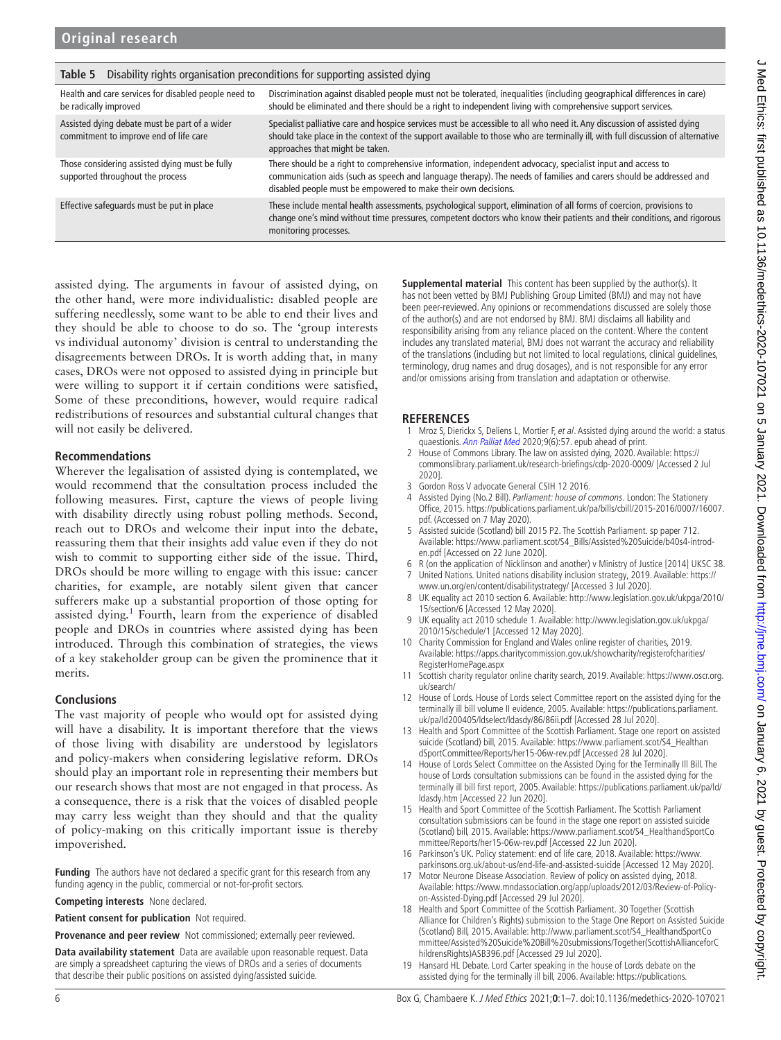| rapie p<br>preconditions to supporting assisted uping                                   |                                                                                                                                                                                                                                                                                                    |  |
|-----------------------------------------------------------------------------------------|----------------------------------------------------------------------------------------------------------------------------------------------------------------------------------------------------------------------------------------------------------------------------------------------------|--|
| Health and care services for disabled people need to<br>be radically improved           | Discrimination against disabled people must not be tolerated, inequalities (including geographical differences in care)<br>should be eliminated and there should be a right to independent living with comprehensive support services.                                                             |  |
| Assisted dying debate must be part of a wider<br>commitment to improve end of life care | Specialist palliative care and hospice services must be accessible to all who need it. Any discussion of assisted dying<br>should take place in the context of the support available to those who are terminally ill, with full discussion of alternative<br>approaches that might be taken.       |  |
| Those considering assisted dying must be fully<br>supported throughout the process      | There should be a right to comprehensive information, independent advocacy, specialist input and access to<br>communication aids (such as speech and language therapy). The needs of families and carers should be addressed and<br>disabled people must be empowered to make their own decisions. |  |
| Effective safeguards must be put in place                                               | These include mental health assessments, psychological support, elimination of all forms of coercion, provisions to<br>change one's mind without time pressures, competent doctors who know their patients and their conditions, and rigorous<br>monitoring processes.                             |  |

<span id="page-6-14"></span>**Table 5** Disability rights organisation preconditions for supporting assisted dying

assisted dying. The arguments in favour of assisted dying, on the other hand, were more individualistic: disabled people are suffering needlessly, some want to be able to end their lives and they should be able to choose to do so. The 'group interests vs individual autonomy' division is central to understanding the disagreements between DROs. It is worth adding that, in many cases, DROs were not opposed to assisted dying in principle but were willing to support it if certain conditions were satisfied, Some of these preconditions, however, would require radical redistributions of resources and substantial cultural changes that will not easily be delivered.

## **Recommendations**

Wherever the legalisation of assisted dying is contemplated, we would recommend that the consultation process included the following measures. First, capture the views of people living with disability directly using robust polling methods. Second, reach out to DROs and welcome their input into the debate, reassuring them that their insights add value even if they do not wish to commit to supporting either side of the issue. Third, DROs should be more willing to engage with this issue: cancer charities, for example, are notably silent given that cancer sufferers make up a substantial proportion of those opting for assisted dying.<sup>[1](#page-6-0)</sup> Fourth, learn from the experience of disabled people and DROs in countries where assisted dying has been introduced. Through this combination of strategies, the views of a key stakeholder group can be given the prominence that it merits.

## **Conclusions**

The vast majority of people who would opt for assisted dying will have a disability. It is important therefore that the views of those living with disability are understood by legislators and policy-makers when considering legislative reform. DROs should play an important role in representing their members but our research shows that most are not engaged in that process. As a consequence, there is a risk that the voices of disabled people may carry less weight than they should and that the quality of policy-making on this critically important issue is thereby impoverished.

**Funding** The authors have not declared a specific grant for this research from any funding agency in the public, commercial or not-for-profit sectors.

**Competing interests** None declared.

**Patient consent for publication** Not required.

**Provenance and peer review** Not commissioned; externally peer reviewed.

**Data availability statement** Data are available upon reasonable request. Data are simply a spreadsheet capturing the views of DROs and a series of documents that describe their public positions on assisted dying/assisted suicide.

**Supplemental material** This content has been supplied by the author(s). It has not been vetted by BMJ Publishing Group Limited (BMJ) and may not have been peer-reviewed. Any opinions or recommendations discussed are solely those of the author(s) and are not endorsed by BMJ. BMJ disclaims all liability and responsibility arising from any reliance placed on the content. Where the content includes any translated material, BMJ does not warrant the accuracy and reliability of the translations (including but not limited to local regulations, clinical guidelines, terminology, drug names and drug dosages), and is not responsible for any error and/or omissions arising from translation and adaptation or otherwise.

## **REFERENCES**

- <span id="page-6-0"></span>1 Mroz S, Dierickx S, Deliens L, Mortier F, et al. Assisted dying around the world: a status quaestionis. [Ann Palliat Med](http://dx.doi.org/10.21037/apm-20-637) 2020;9(6):57. epub ahead of print.
- <span id="page-6-1"></span>2 House of Commons Library. The law on assisted dying, 2020. Available: [https://](https://commonslibrary.parliament.uk/research-briefings/cdp-2020-0009/) [commonslibrary.parliament.uk/research-briefings/cdp-2020-0009/](https://commonslibrary.parliament.uk/research-briefings/cdp-2020-0009/) [Accessed 2 Jul 2020].
- 3 Gordon Ross V advocate General CSIH 12 2016.
- <span id="page-6-2"></span>4 Assisted Dying (No.2 Bill). Parliament: house of commons. London: The Stationery Office, 2015. [https://publications.parliament.uk/pa/bills/cbill/2015-2016/0007/16007.](https://publications.parliament.uk/pa/bills/cbill/2015-2016/0007/16007.pdf) [pdf.](https://publications.parliament.uk/pa/bills/cbill/2015-2016/0007/16007.pdf) (Accessed on 7 May 2020).
- <span id="page-6-3"></span>5 Assisted suicide (Scotland) bill 2015 P2. The Scottish Parliament. sp paper 712. Available: [https://www.parliament.scot/S4\\_Bills/Assisted%20Suicide/b40s4-introd](https://www.parliament.scot/S4_Bills/Assisted%20Suicide/b40s4-introd-en.pdf)[en.pdf](https://www.parliament.scot/S4_Bills/Assisted%20Suicide/b40s4-introd-en.pdf) [Accessed on 22 June 2020].
- <span id="page-6-4"></span>6 R (on the application of Nicklinson and another) v Ministry of Justice [2014] UKSC 38.
- <span id="page-6-5"></span>7 United Nations. United nations disability inclusion strategy, 2019. Available: [https://](https://www.un.org/en/content/disabilitystrategy/) [www.un.org/en/content/disabilitystrategy/](https://www.un.org/en/content/disabilitystrategy/) [Accessed 3 Jul 2020].
- <span id="page-6-6"></span>8 UK equality act 2010 section 6. Available: [http://www.legislation.gov.uk/ukpga/2010/](http://www.legislation.gov.uk/ukpga/2010/15/section/6) [15/section/6](http://www.legislation.gov.uk/ukpga/2010/15/section/6) [Accessed 12 May 2020].
- <span id="page-6-7"></span>9 UK equality act 2010 schedule 1. Available: [http://www.legislation.gov.uk/ukpga/](http://www.legislation.gov.uk/ukpga/2010/15/schedule/1) [2010/15/schedule/1](http://www.legislation.gov.uk/ukpga/2010/15/schedule/1) [Accessed 12 May 2020].
- <span id="page-6-8"></span>10 Charity Commission for England and Wales online register of charities, 2019. Available: [https://apps.charitycommission.gov.uk/showcharity/registerofcharities/](https://apps.charitycommission.gov.uk/showcharity/registerofcharities/RegisterHomePage.aspx) [RegisterHomePage.aspx](https://apps.charitycommission.gov.uk/showcharity/registerofcharities/RegisterHomePage.aspx)
- 11 Scottish charity regulator online charity search, 2019. Available: [https://www.oscr.org.](https://www.oscr.org.uk/search/) [uk/search/](https://www.oscr.org.uk/search/)
- <span id="page-6-9"></span>12 House of Lords. House of Lords select Committee report on the assisted dying for the terminally ill bill volume II evidence, 2005. Available: [https://publications.parliament.](https://publications.parliament.uk/pa/ld200405/ldselect/ldasdy/86/86ii.pdf) [uk/pa/ld200405/ldselect/ldasdy/86/86ii.pdf](https://publications.parliament.uk/pa/ld200405/ldselect/ldasdy/86/86ii.pdf) [Accessed 28 Jul 2020].
- 13 Health and Sport Committee of the Scottish Parliament. Stage one report on assisted suicide (Scotland) bill, 2015. Available: [https://www.parliament.scot/S4\\_Healthan](https://www.parliament.scot/S4_HealthandSportCommittee/Reports/her15-06w-rev.pdf) [dSportCommittee/Reports/her15-06w-rev.pdf](https://www.parliament.scot/S4_HealthandSportCommittee/Reports/her15-06w-rev.pdf) [Accessed 28 Jul 2020].
- <span id="page-6-10"></span>14 House of Lords Select Committee on the Assisted Dying for the Terminally Ill Bill. The house of Lords consultation submissions can be found in the assisted dying for the terminally ill bill first report, 2005. Available: [https://publications.parliament.uk/pa/ld/](https://publications.parliament.uk/pa/ld/ldasdy.htm) [ldasdy.htm](https://publications.parliament.uk/pa/ld/ldasdy.htm) [Accessed 22 Jun 2020].
- 15 Health and Sport Committee of the Scottish Parliament. The Scottish Parliament consultation submissions can be found in the stage one report on assisted suicide (Scotland) bill, 2015. Available: [https://www.parliament.scot/S4\\_HealthandSportCo](https://www.parliament.scot/S4_HealthandSportCommittee/Reports/her15-06w-rev.pdf) [mmittee/Reports/her15-06w-rev.pdf](https://www.parliament.scot/S4_HealthandSportCommittee/Reports/her15-06w-rev.pdf) [Accessed 22 Jun 2020].
- <span id="page-6-11"></span>16 Parkinson's UK. Policy statement: end of life care, 2018. Available: [https://www.](https://www.parkinsons.org.uk/about-us/end-life-and-assisted-suicide) [parkinsons.org.uk/about-us/end-life-and-assisted-suicide](https://www.parkinsons.org.uk/about-us/end-life-and-assisted-suicide) [Accessed 12 May 2020].
- <span id="page-6-12"></span>17 Motor Neurone Disease Association. Review of policy on assisted dying, 2018. Available: [https://www.mndassociation.org/app/uploads/2012/03/Review-of-Policy](https://www.mndassociation.org/app/uploads/2012/03/Review-of-Policy-on-Assisted-Dying.pdf)[on-Assisted-Dying.pdf](https://www.mndassociation.org/app/uploads/2012/03/Review-of-Policy-on-Assisted-Dying.pdf) [Accessed 29 Jul 2020].
- <span id="page-6-13"></span>18 Health and Sport Committee of the Scottish Parliament. 30 Together (Scottish Alliance for Children's Rights) submission to the Stage One Report on Assisted Suicide (Scotland) Bill, 2015. Available: [http://www.parliament.scot/S4\\_HealthandSportCo](http://www.parliament.scot/S4_HealthandSportCommittee/Assisted%20Suicide%20Bill%20submissions/Together(ScottishAllianceforChildrensRights)ASB396.pdf) [mmittee/Assisted%20Suicide%20Bill%20submissions/Together\(ScottishAllianceforC](http://www.parliament.scot/S4_HealthandSportCommittee/Assisted%20Suicide%20Bill%20submissions/Together(ScottishAllianceforChildrensRights)ASB396.pdf) [hildrensRights\)ASB396.pdf](http://www.parliament.scot/S4_HealthandSportCommittee/Assisted%20Suicide%20Bill%20submissions/Together(ScottishAllianceforChildrensRights)ASB396.pdf) [Accessed 29 Jul 2020].
- <span id="page-6-15"></span>19 Hansard HL Debate. Lord Carter speaking in the house of Lords debate on the assisted dying for the terminally ill bill, 2006. Available: [https://publications.](https://publications.parliament.uk/pa/ld200506/ldhansrd/vo060512/text/60512-28.htm)